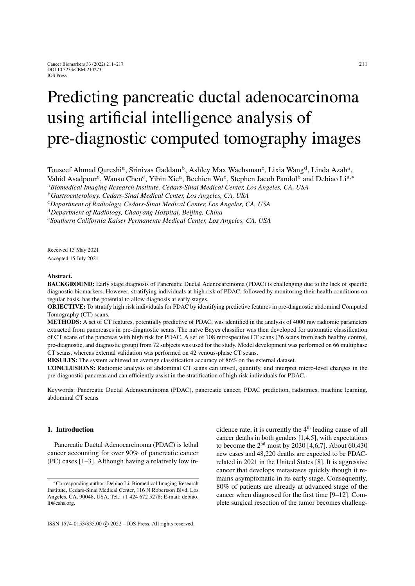# Predicting pancreatic ductal adenocarcinoma using artificial intelligence analysis of pre-diagnostic computed tomography images

Touseef Ahmad Qureshi<sup>a</sup>, Srinivas Gaddam<sup>b</sup>, Ashley Max Wachsman<sup>c</sup>, Lixia Wang<sup>d</sup>, Linda Azab<sup>a</sup>,

Vahid Asadpour<sup>e</sup>, Wansu Chen<sup>e</sup>, Yibin Xie<sup>a</sup>, Bechien Wu<sup>e</sup>, Stephen Jacob Pandol<sup>b</sup> and Debiao Li<sup>a,\*</sup>

<sup>a</sup>*Biomedical Imaging Research Institute, Cedars-Sinai Medical Center, Los Angeles, CA, USA*

<sup>b</sup>*Gastroenterology, Cedars-Sinai Medical Center, Los Angeles, CA, USA*

<sup>c</sup>*Department of Radiology, Cedars-Sinai Medical Center, Los Angeles, CA, USA*

<sup>d</sup>*Department of Radiology, Chaoyang Hospital, Beijing, China*

<sup>e</sup>*Southern California Kaiser Permanente Medical Center, Los Angeles, CA, USA*

Received 13 May 2021 Accepted 15 July 2021

#### Abstract.

BACKGROUND: Early stage diagnosis of Pancreatic Ductal Adenocarcinoma (PDAC) is challenging due to the lack of specific diagnostic biomarkers. However, stratifying individuals at high risk of PDAC, followed by monitoring their health conditions on regular basis, has the potential to allow diagnosis at early stages.

OBJECTIVE: To stratify high risk individuals for PDAC by identifying predictive features in pre-diagnostic abdominal Computed Tomography (CT) scans.

METHODS: A set of CT features, potentially predictive of PDAC, was identified in the analysis of 4000 raw radiomic parameters extracted from pancreases in pre-diagnostic scans. The naïve Bayes classifier was then developed for automatic classification of CT scans of the pancreas with high risk for PDAC. A set of 108 retrospective CT scans (36 scans from each healthy control, pre-diagnostic, and diagnostic group) from 72 subjects was used for the study. Model development was performed on 66 multiphase CT scans, whereas external validation was performed on 42 venous-phase CT scans.

RESULTS: The system achieved an average classification accuracy of 86% on the external dataset.

CONCLUSIONS: Radiomic analysis of abdominal CT scans can unveil, quantify, and interpret micro-level changes in the pre-diagnostic pancreas and can efficiently assist in the stratification of high risk individuals for PDAC.

Keywords: Pancreatic Ductal Adenocarcinoma (PDAC), pancreatic cancer, PDAC prediction, radiomics, machine learning, abdominal CT scans

## 1. Introduction

Pancreatic Ductal Adenocarcinoma (PDAC) is lethal cancer accounting for over 90% of pancreatic cancer (PC) cases [\[1](#page-5-0)[–3\]](#page-5-1). Although having a relatively low incidence rate, it is currently the  $4<sup>th</sup>$  leading cause of all cancer deaths in both genders [\[1,](#page-5-0)[4](#page-5-2)[,5\]](#page-5-3), with expectations to become the  $2<sup>nd</sup>$  most by 2030 [\[4,](#page-5-2)[6,](#page-5-4)[7\]](#page-5-5). About 60,430 new cases and 48,220 deaths are expected to be PDACrelated in 2021 in the United States [\[8\]](#page-5-6). It is aggressive cancer that develops metastases quickly though it remains asymptomatic in its early stage. Consequently, 80% of patients are already at advanced stage of the cancer when diagnosed for the first time [\[9](#page-5-7)[–12\]](#page-5-8). Complete surgical resection of the tumor becomes challeng-

<sup>∗</sup>Corresponding author: Debiao Li, Biomedical Imaging Research Institute, Cedars-Sinai Medical Center, 116 N Robertson Blvd, Los Angeles, CA, 90048, USA. Tel.: +1 424 672 5278; E-mail: debiao. li@cshs.org.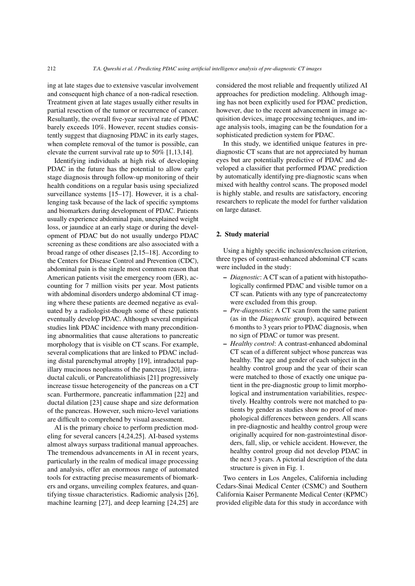ing at late stages due to extensive vascular involvement and consequent high chance of a non-radical resection. Treatment given at late stages usually either results in partial resection of the tumor or recurrence of cancer. Resultantly, the overall five-year survival rate of PDAC barely exceeds 10%. However, recent studies consistently suggest that diagnosing PDAC in its early stages, when complete removal of the tumor is possible, can elevate the current survival rate up to 50% [\[1](#page-5-0)[,13](#page-5-9)[,14\]](#page-5-10).

Identifying individuals at high risk of developing PDAC in the future has the potential to allow early stage diagnosis through follow-up monitoring of their health conditions on a regular basis using specialized surveillance systems [\[15–](#page-5-11)[17\]](#page-5-12). However, it is a challenging task because of the lack of specific symptoms and biomarkers during development of PDAC. Patients usually experience abdominal pain, unexplained weight loss, or jaundice at an early stage or during the development of PDAC but do not usually undergo PDAC screening as these conditions are also associated with a broad range of other diseases [\[2,](#page-5-13)[15–](#page-5-11)[18\]](#page-5-14). According to the Centers for Disease Control and Prevention (CDC), abdominal pain is the single most common reason that American patients visit the emergency room (ER), accounting for 7 million visits per year. Most patients with abdominal disorders undergo abdominal CT imaging where these patients are deemed negative as evaluated by a radiologist-though some of these patients eventually develop PDAC. Although several empirical studies link PDAC incidence with many preconditioning abnormalities that cause alterations to pancreatic morphology that is visible on CT scans. For example, several complications that are linked to PDAC including distal parenchymal atrophy [\[19\]](#page-5-15), intraductal papillary mucinous neoplasms of the pancreas [\[20\]](#page-5-16), intraductal calculi, or Pancreatolithiasis [\[21\]](#page-5-17) progressively increase tissue heterogeneity of the pancreas on a CT scan. Furthermore, pancreatic inflammation [\[22\]](#page-5-18) and ductal dilation [\[23\]](#page-5-19) cause shape and size deformation of the pancreas. However, such micro-level variations are difficult to comprehend by visual assessment.

AI is the primary choice to perform prediction modeling for several cancers [\[4,](#page-5-2)[24](#page-5-20)[,25\]](#page-5-21). AI-based systems almost always surpass traditional manual approaches. The tremendous advancements in AI in recent years, particularly in the realm of medical image processing and analysis, offer an enormous range of automated tools for extracting precise measurements of biomarkers and organs, unveiling complex features, and quantifying tissue characteristics. Radiomic analysis [\[26\]](#page-5-22), machine learning [\[27\]](#page-5-23), and deep learning [\[24](#page-5-20)[,25\]](#page-5-21) are considered the most reliable and frequently utilized AI approaches for prediction modeling. Although imaging has not been explicitly used for PDAC prediction, however, due to the recent advancement in image acquisition devices, image processing techniques, and image analysis tools, imaging can be the foundation for a sophisticated prediction system for PDAC.

In this study, we identified unique features in prediagnostic CT scans that are not appreciated by human eyes but are potentially predictive of PDAC and developed a classifier that performed PDAC prediction by automatically identifying pre-diagnostic scans when mixed with healthy control scans. The proposed model is highly stable, and results are satisfactory, encoring researchers to replicate the model for further validation on large dataset.

## 2. Study material

Using a highly specific inclusion/exclusion criterion, three types of contrast-enhanced abdominal CT scans were included in the study:

- *Diagnostic*: A CT scan of a patient with histopathologically confirmed PDAC and visible tumor on a CT scan. Patients with any type of pancreatectomy were excluded from this group.
- *Pre-diagnostic*: A CT scan from the same patient (as in the *Diagnostic* group), acquired between 6 months to 3 years prior to PDAC diagnosis, when no sign of PDAC or tumor was present.
- *Healthy control*: A contrast-enhanced abdominal CT scan of a different subject whose pancreas was healthy. The age and gender of each subject in the healthy control group and the year of their scan were matched to those of exactly one unique patient in the pre-diagnostic group to limit morphological and instrumentation variabilities, respectively. Healthy controls were not matched to patients by gender as studies show no proof of morphological differences between genders. All scans in pre-diagnostic and healthy control group were originally acquired for non-gastrointestinal disorders, fall, slip, or vehicle accident. However, the healthy control group did not develop PDAC in the next 3 years. A pictorial description of the data structure is given in Fig. [1.](#page-2-0)

Two centers in Los Angeles, California including Cedars-Sinai Medical Center (CSMC) and Southern California Kaiser Permanente Medical Center (KPMC) provided eligible data for this study in accordance with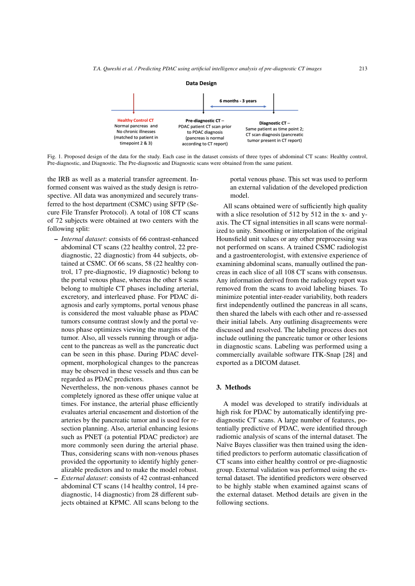

<span id="page-2-0"></span>Fig. 1. Proposed design of the data for the study. Each case in the dataset consists of three types of abdominal CT scans: Healthy control, Pre-diagnostic, and Diagnostic. The Pre-diagnostic and Diagnostic scans were obtained from the same patient.

the IRB as well as a material transfer agreement. Informed consent was waived as the study design is retrospective. All data was anonymized and securely transferred to the host department (CSMC) using SFTP (Secure File Transfer Protocol). A total of 108 CT scans of 72 subjects were obtained at two centers with the following split:

– *Internal dataset*: consists of 66 contrast-enhanced abdominal CT scans (22 healthy control, 22 prediagnostic, 22 diagnostic) from 44 subjects, obtained at CSMC. Of 66 scans, 58 (22 healthy control, 17 pre-diagnostic, 19 diagnostic) belong to the portal venous phase, whereas the other 8 scans belong to multiple CT phases including arterial, excretory, and interleaved phase. For PDAC diagnosis and early symptoms, portal venous phase is considered the most valuable phase as PDAC tumors consume contrast slowly and the portal venous phase optimizes viewing the margins of the tumor. Also, all vessels running through or adjacent to the pancreas as well as the pancreatic duct can be seen in this phase. During PDAC development, morphological changes to the pancreas may be observed in these vessels and thus can be regarded as PDAC predictors.

Nevertheless, the non-venous phases cannot be completely ignored as these offer unique value at times. For instance, the arterial phase efficiently evaluates arterial encasement and distortion of the arteries by the pancreatic tumor and is used for resection planning. Also, arterial enhancing lesions such as PNET (a potential PDAC predictor) are more commonly seen during the arterial phase. Thus, considering scans with non-venous phases provided the opportunity to identify highly generalizable predictors and to make the model robust.

– *External dataset*: consists of 42 contrast-enhanced abdominal CT scans (14 healthy control, 14 prediagnostic, 14 diagnostic) from 28 different subjects obtained at KPMC. All scans belong to the

portal venous phase. This set was used to perform an external validation of the developed prediction model.

All scans obtained were of sufficiently high quality with a slice resolution of 512 by 512 in the x- and yaxis. The CT signal intensities in all scans were normalized to unity. Smoothing or interpolation of the original Hounsfield unit values or any other preprocessing was not performed on scans. A trained CSMC radiologist and a gastroenterologist, with extensive experience of examining abdominal scans, manually outlined the pancreas in each slice of all 108 CT scans with consensus. Any information derived from the radiology report was removed from the scans to avoid labeling biases. To minimize potential inter-reader variability, both readers first independently outlined the pancreas in all scans, then shared the labels with each other and re-assessed their initial labels. Any outlining disagreements were discussed and resolved. The labeling process does not include outlining the pancreatic tumor or other lesions in diagnostic scans. Labeling was performed using a commercially available software ITK-Snap [\[28\]](#page-5-24) and exported as a DICOM dataset.

## 3. Methods

A model was developed to stratify individuals at high risk for PDAC by automatically identifying prediagnostic CT scans. A large number of features, potentially predictive of PDAC, were identified through radiomic analysis of scans of the internal dataset. The Naïve Bayes classifier was then trained using the identified predictors to perform automatic classification of CT scans into either healthy control or pre-diagnostic group. External validation was performed using the external dataset. The identified predictors were observed to be highly stable when examined against scans of the external dataset. Method details are given in the following sections.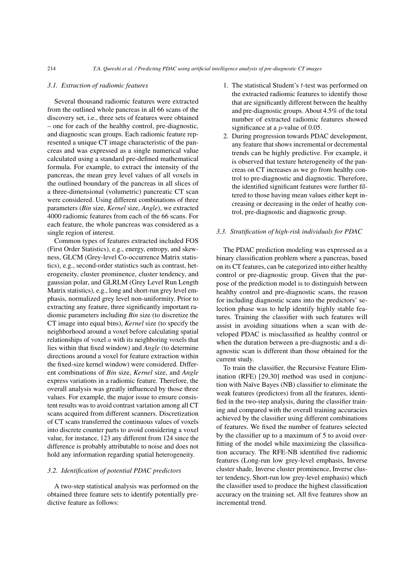#### *3.1. Extraction of radiomic features*

Several thousand radiomic features were extracted from the outlined whole pancreas in all 66 scans of the discovery set, i.e., three sets of features were obtained – one for each of the healthy control, pre-diagnostic, and diagnostic scan groups. Each radiomic feature represented a unique CT image characteristic of the pancreas and was expressed as a single numerical value calculated using a standard pre-defined mathematical formula. For example, to extract the intensity of the pancreas, the mean grey level values of all voxels in the outlined boundary of the pancreas in all slices of a three-dimensional (volumetric) pancreatic CT scan were considered. Using different combinations of three parameters (*Bin* size, *Kernel* size, *Angle*), we extracted 4000 radiomic features from each of the 66 scans. For each feature, the whole pancreas was considered as a single region of interest.

Common types of features extracted included FOS (First Order Statistics), e.g., energy, entropy, and skewness, GLCM (Grey-level Co-occurrence Matrix statistics), e.g., second-order statistics such as contrast, heterogeneity, cluster prominence, cluster tendency, and gaussian polar, and GLRLM (Grey Level Run Length Matrix statistics), e.g., long and short-run grey level emphasis, normalized grey level non-uniformity. Prior to extracting any feature, three significantly important radiomic parameters including *Bin* size (to discretize the CT image into equal bins), *Kernel* size (to specify the neighborhood around a voxel before calculating spatial relationships of voxel  $\alpha$  with its neighboring voxels that lies within that fixed window) and *Angle* (to determine directions around a voxel for feature extraction within the fixed-size kernel window) were considered. Different combinations of *Bin* size, *Kernel* size, and *Angle* express variations in a radiomic feature. Therefore, the overall analysis was greatly influenced by those three values. For example, the major issue to ensure consistent results was to avoid contrast variation among all CT scans acquired from different scanners. Discretization of CT scans transferred the continuous values of voxels into discrete counter parts to avoid considering a voxel value, for instance, 123 any different from 124 since the difference is probably attributable to noise and does not hold any information regarding spatial heterogeneity.

#### *3.2. Identification of potential PDAC predictors*

A two-step statistical analysis was performed on the obtained three feature sets to identify potentially predictive feature as follows:

- 1. The statistical Student's t-test was performed on the extracted radiomic features to identify those that are significantly different between the healthy and pre-diagnostic groups. About 4.5% of the total number of extracted radiomic features showed significance at a p-value of 0.05.
- 2. During progression towards PDAC development, any feature that shows incremental or decremental trends can be highly predictive. For example, it is observed that texture heterogeneity of the pancreas on CT increases as we go from healthy control to pre-diagnostic and diagnostic. Therefore, the identified significant features were further filtered to those having mean values either kept increasing or decreasing in the order of heathy control, pre-diagnostic and diagnostic group.

#### *3.3. Stratification of high-risk individuals for PDAC*

The PDAC prediction modeling was expressed as a binary classification problem where a pancreas, based on its CT features, can be categorized into either healthy control or pre-diagnostic group. Given that the purpose of the prediction model is to distinguish between healthy control and pre-diagnostic scans, the reason for including diagnostic scans into the predictors' selection phase was to help identify highly stable features. Training the classifier with such features will assist in avoiding situations when a scan with developed PDAC is misclassified as healthy control or when the duration between a pre-diagnostic and a diagnostic scan is different than those obtained for the current study.

To train the classifier, the Recursive Feature Elimination (RFE) [\[29](#page-5-25)[,30\]](#page-6-0) method was used in conjunction with Naïve Bayes (NB) classifier to eliminate the weak features (predictors) from all the features, identified in the two-step analysis, during the classifier training and compared with the overall training accuracies achieved by the classifier using different combinations of features. We fixed the number of features selected by the classifier up to a maximum of 5 to avoid overfitting of the model while maximizing the classification accuracy. The RFE-NB identified five radiomic features (Long-run low grey-level emphasis, Inverse cluster shade, Inverse cluster prominence, Inverse cluster tendency, Short-run low grey-level emphasis) which the classifier used to produce the highest classification accuracy on the training set. All five features show an incremental trend.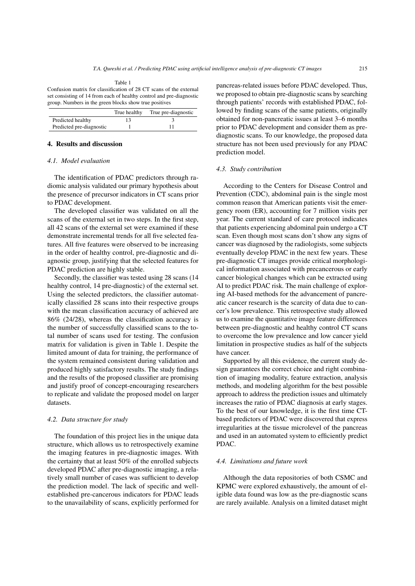<span id="page-4-0"></span>Table 1 Confusion matrix for classification of 28 CT scans of the external set consisting of 14 from each of healthy control and pre-diagnostic group. Numbers in the green blocks show true positives

|                          | True healthy | True pre-diagnostic |
|--------------------------|--------------|---------------------|
| Predicted healthy        |              |                     |
| Predicted pre-diagnostic |              |                     |

## 4. Results and discussion

#### *4.1. Model evaluation*

The identification of PDAC predictors through radiomic analysis validated our primary hypothesis about the presence of precursor indicators in CT scans prior to PDAC development.

The developed classifier was validated on all the scans of the external set in two steps. In the first step, all 42 scans of the external set were examined if these demonstrate incremental trends for all five selected features. All five features were observed to be increasing in the order of healthy control, pre-diagnostic and diagnostic group, justifying that the selected features for PDAC prediction are highly stable.

Secondly, the classifier was tested using 28 scans (14 healthy control, 14 pre-diagnostic) of the external set. Using the selected predictors, the classifier automatically classified 28 scans into their respective groups with the mean classification accuracy of achieved are 86% (24/28), whereas the classification accuracy is the number of successfully classified scans to the total number of scans used for testing. The confusion matrix for validation is given in Table [1.](#page-4-0) Despite the limited amount of data for training, the performance of the system remained consistent during validation and produced highly satisfactory results. The study findings and the results of the proposed classifier are promising and justify proof of concept-encouraging researchers to replicate and validate the proposed model on larger datasets.

#### *4.2. Data structure for study*

The foundation of this project lies in the unique data structure, which allows us to retrospectively examine the imaging features in pre-diagnostic images. With the certainty that at least 50% of the enrolled subjects developed PDAC after pre-diagnostic imaging, a relatively small number of cases was sufficient to develop the prediction model. The lack of specific and wellestablished pre-cancerous indicators for PDAC leads to the unavailability of scans, explicitly performed for pancreas-related issues before PDAC developed. Thus, we proposed to obtain pre-diagnostic scans by searching through patients' records with established PDAC, followed by finding scans of the same patients, originally obtained for non-pancreatic issues at least 3–6 months prior to PDAC development and consider them as prediagnostic scans. To our knowledge, the proposed data structure has not been used previously for any PDAC prediction model.

#### *4.3. Study contribution*

According to the Centers for Disease Control and Prevention (CDC), abdominal pain is the single most common reason that American patients visit the emergency room (ER), accounting for 7 million visits per year. The current standard of care protocol indicates that patients experiencing abdominal pain undergo a CT scan. Even though most scans don't show any signs of cancer was diagnosed by the radiologists, some subjects eventually develop PDAC in the next few years. These pre-diagnostic CT images provide critical morphological information associated with precancerous or early cancer biological changes which can be extracted using AI to predict PDAC risk. The main challenge of exploring AI-based methods for the advancement of pancreatic cancer research is the scarcity of data due to cancer's low prevalence. This retrospective study allowed us to examine the quantitative image feature differences between pre-diagnostic and healthy control CT scans to overcome the low prevalence and low cancer yield limitation in prospective studies as half of the subjects have cancer.

Supported by all this evidence, the current study design guarantees the correct choice and right combination of imaging modality, feature extraction, analysis methods, and modeling algorithm for the best possible approach to address the prediction issues and ultimately increases the ratio of PDAC diagnosis at early stages. To the best of our knowledge, it is the first time CTbased predictors of PDAC were discovered that express irregularities at the tissue microlevel of the pancreas and used in an automated system to efficiently predict PDAC.

## *4.4. Limitations and future work*

Although the data repositories of both CSMC and KPMC were explored exhaustively, the amount of eligible data found was low as the pre-diagnostic scans are rarely available. Analysis on a limited dataset might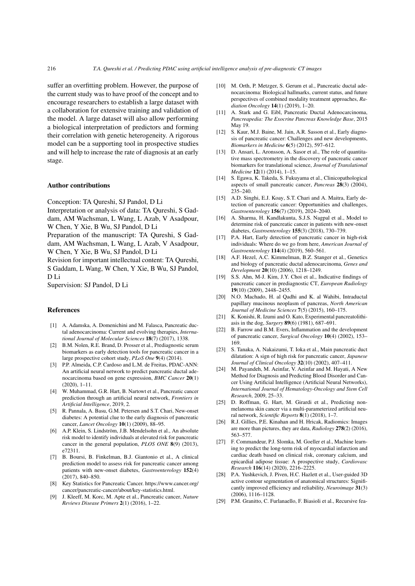suffer an overfitting problem. However, the purpose of the current study was to have proof of the concept and to encourage researchers to establish a large dataset with a collaboration for extensive training and validation of the model. A large dataset will also allow performing a biological interpretation of predictors and forming their correlation with genetic heterogeneity. A rigorous model can be a supporting tool in prospective studies and will help to increase the rate of diagnosis at an early stage.

## Author contributions

Conception: TA Qureshi, SJ Pandol, D Li

Interpretation or analysis of data: TA Qureshi, S Gaddam, AM Wachsman, L Wang, L Azab, V Asadpour, W Chen, Y Xie, B Wu, SJ Pandol, D Li

Preparation of the manuscript: TA Qureshi, S Gaddam, AM Wachsman, L Wang, L Azab, V Asadpour, W Chen, Y Xie, B Wu, SJ Pandol, D Li

Revision for important intellectual content: TA Qureshi, S Gaddam, L Wang, W Chen, Y Xie, B Wu, SJ Pandol, D Li

Supervision: SJ Pandol, D Li

## References

- <span id="page-5-0"></span>[1] A. Adamska, A. Domenichini and M. Falasca, Pancreatic ductal adenocarcinoma: Current and evolving therapies, *International Journal of Molecular Sciences* 18(7) (2017), 1338.
- <span id="page-5-13"></span>[2] B.M. Nolen, R.E. Brand, D. Prosser et al., Prediagnostic serum biomarkers as early detection tools for pancreatic cancer in a large prospective cohort study, *PLoS One* 9(4) (2014).
- <span id="page-5-1"></span>[3] P.P. Almeida, C.P. Cardoso and L.M. de Freitas, PDAC-ANN: An artificial neural network to predict pancreatic ductal adenocarcinoma based on gene expression, *BMC Cancer* 20(1) (2020), 1–11.
- <span id="page-5-2"></span>[4] W. Muhammad, G.R. Hart, B. Nartowt et al., Pancreatic cancer prediction through an artificial neural network, *Frontiers in Artificial Intelligence*, 2019, 2.
- <span id="page-5-3"></span>[5] R. Pannala, A. Basu, G.M. Petersen and S.T. Chari, New-onset diabetes: A potential clue to the early diagnosis of pancreatic cancer, *Lancet Oncology* 10(1) (2009), 88–95.
- <span id="page-5-4"></span>[6] A.P. Klein, S. Lindström, J.B. Mendelsohn et al., An absolute risk model to identify individuals at elevated risk for pancreatic cancer in the general population, *PLOS ONE* 8(9) (2013), e72311.
- <span id="page-5-5"></span>[7] B. Boursi, B. Finkelman, B.J. Giantonio et al., A clinical prediction model to assess risk for pancreatic cancer among patients with new-onset diabetes, *Gastroenterology* 152(4)  $(2017)$ , 840–850.
- <span id="page-5-6"></span>[8] Key Statistics for Pancreatic Cancer. https://www.cancer.org/ cancer/pancreatic-cancer/about/key-statistics.html.
- <span id="page-5-7"></span>[9] J. Kleeff, M. Korc, M. Apte et al., Pancreatic cancer, *Nature Reviews Disease Primers* 2(1) (2016), 1–22.
- [10] M. Orth, P. Metzger, S. Gerum et al., Pancreatic ductal adenocarcinoma: Biological hallmarks, current status, and future perspectives of combined modality treatment approaches, *Radiation Oncology* 14(1) (2019), 1–20.
- [11] A. Stark and G. Eibl, Pancreatic Ductal Adenocarcinoma, *Pancreapedia: The Exocrine Pancreas Knowledge Base*, 2015 May 19.
- <span id="page-5-8"></span>[12] S. Kaur, M.J. Baine, M. Jain, A.R. Sasson et al., Early diagnosis of pancreatic cancer: Challenges and new developments, *Biomarkers in Medicine* 6(5) (2012), 597–612.
- <span id="page-5-9"></span>[13] D. Ansari, L. Aronsson, A. Sasor et al., The role of quantitative mass spectrometry in the discovery of pancreatic cancer biomarkers for translational science, *Journal of Translational Medicine* 12(1) (2014), 1–15.
- <span id="page-5-10"></span>[14] S. Egawa, K. Takeda, S. Fukuyama et al., Clinicopathological aspects of small pancreatic cancer, *Pancreas* 28(3) (2004), 235–240.
- <span id="page-5-11"></span>[15] A.D. Singhi, E.J. Koay, S.T. Chari and A. Maitra, Early detection of pancreatic cancer: Opportunities and challenges, *Gastroenterology* 156(7) (2019), 2024–2040.
- [16] A. Sharma, H. Kandlakunta, S.J.S. Nagpal et al., Model to determine risk of pancreatic cancer in patients with new-onset diabetes, *Gastroenterology* 155(3) (2018), 730–739.
- <span id="page-5-12"></span>[17] P.A. Hart, Early detection of pancreatic cancer in high-risk individuals: Where do we go from here, *American Journal of Gastroenterology* 114(4) (2019), 560–561.
- <span id="page-5-14"></span>[18] A.F. Hezel, A.C. Kimmelman, B.Z. Stanger et al., Genetics and biology of pancreatic ductal adenocarcinoma, *Genes and Development* 20(10) (2006), 1218–1249.
- <span id="page-5-15"></span>[19] S.S. Ahn, M-J. Kim, J.Y. Choi et al., Indicative findings of pancreatic cancer in prediagnostic CT, *European Radiology* 19(10) (2009), 2448–2455.
- <span id="page-5-16"></span>[20] N.O. Machado, H. al Qadhi and K. al Wahibi, Intraductal papillary mucinous neoplasm of pancreas, *North American Journal of Medicine Sciences* 7(5) (2015), 160–175.
- <span id="page-5-17"></span>[21] K. Konishi, R. Izumi and O. Kato, Experimental pancreatolithiasis in the dog, *Surgery* 89(6) (1981), 687–691.
- <span id="page-5-18"></span>[22] B. Farrow and B.M. Evers, Inflammation and the development of pancreatic cancer, *Surgical Oncology* 10(4) (2002), 153– 169.
- <span id="page-5-19"></span>[23] S. Tanaka, A. Nakaizumi, T. Ioka et al., Main pancreatic duct dilatation: A sign of high risk for pancreatic cancer, *Japanese Journal of Clinical Oncology* 32(10) (2002), 407–411.
- <span id="page-5-20"></span>[24] M. Payandeh, M. Aeinfar, V. Aeinfar and M. Hayati, A New Method for Diagnosis and Predicting Blood Disorder and Cancer Using Artificial Intelligence (Artificial Neural Networks), *International Journal of Hematology-Oncology and Stem Cell Research*, 2009, 25–33.
- <span id="page-5-21"></span>[25] D. Roffman, G. Hart, M. Girardi et al., Predicting nonmelanoma skin cancer via a multi-parameterized artificial neural network, *Scientific Reports* 8(1) (2018), 1–7.
- <span id="page-5-22"></span>[26] R.J. Gillies, P.E. Kinahan and H. Hricak, Radiomics: Images are more than pictures, they are data, *Radiology* 278(2) (2016), 563–577.
- <span id="page-5-23"></span>[27] F. Commandeur, P.J. Slomka, M. Goeller et al., Machine learning to predict the long-term risk of myocardial infarction and cardiac death based on clinical risk, coronary calcium, and epicardial adipose tissue: A prospective study, *Cardiovasc Research* 116(14) (2020), 2216–2225.
- <span id="page-5-24"></span>[28] P.A. Yushkevich, J. Piven, H.C. Hazlett et al., User-guided 3D active contour segmentation of anatomical structures: Significantly improved efficiency and reliability, *Neuroimage* 31(3) (2006), 1116–1128.
- <span id="page-5-25"></span>[29] P.M. Granitto, C. Furlanaello, F. Biasioli et al., Recursive fea-